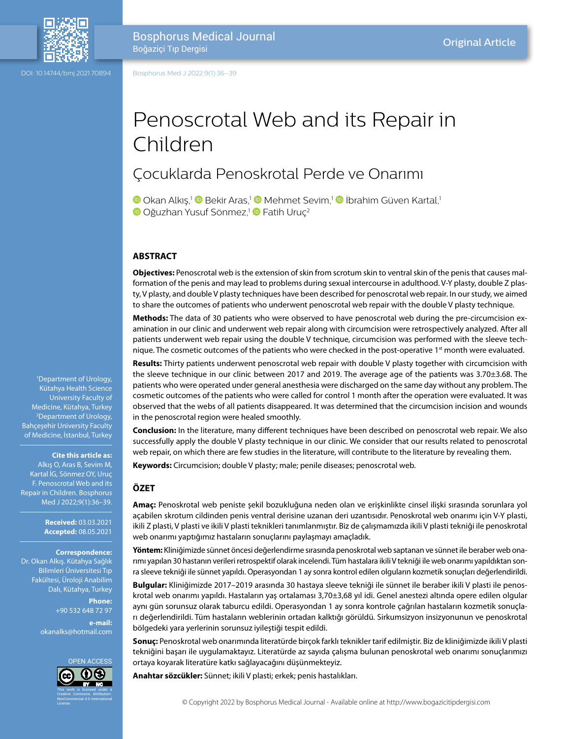

DOI: 10.14744/bmj.2021.70894

Bosphorus Medical Journal Boğaziçi Tıp Dergisi

Bosphorus Med J 2022;9(1):36–39

# Penoscrotal Web and its Repair in Children

# Çocuklarda Penoskrotal Perde ve Onarımı

**D**Okan Alkış,<sup>1</sup> D Bekir Aras,<sup>1</sup> D Mehmet Sevim,<sup>1</sup> D İbrahim Güven Kartal,<sup>1</sup> **D**Oğuzhan Yusuf Sönmez,<sup>1</sup> P Fatih Uruç<sup>2</sup>

#### **ABSTRACT**

**Objectives:** Penoscrotal web is the extension of skin from scrotum skin to ventral skin of the penis that causes malformation of the penis and may lead to problems during sexual intercourse in adulthood. V-Y plasty, double Z plasty, V plasty, and double V plasty techniques have been described for penoscrotal web repair. In our study, we aimed to share the outcomes of patients who underwent penoscrotal web repair with the double V plasty technique.

**Methods:** The data of 30 patients who were observed to have penoscrotal web during the pre-circumcision examination in our clinic and underwent web repair along with circumcision were retrospectively analyzed. After all patients underwent web repair using the double V technique, circumcision was performed with the sleeve technique. The cosmetic outcomes of the patients who were checked in the post-operative 1<sup>st</sup> month were evaluated.

**Results:** Thirty patients underwent penoscrotal web repair with double V plasty together with circumcision with the sleeve technique in our clinic between 2017 and 2019. The average age of the patients was 3.70±3.68. The patients who were operated under general anesthesia were discharged on the same day without any problem. The cosmetic outcomes of the patients who were called for control 1 month after the operation were evaluated. It was observed that the webs of all patients disappeared. It was determined that the circumcision incision and wounds in the penoscrotal region were healed smoothly.

**Conclusion:** In the literature, many different techniques have been described on penoscrotal web repair. We also successfully apply the double V plasty technique in our clinic. We consider that our results related to penoscrotal web repair, on which there are few studies in the literature, will contribute to the literature by revealing them.

**Keywords:** Circumcision; double V plasty; male; penile diseases; penoscrotal web.

#### **ÖZET**

**Amaç:** Penoskrotal web peniste şekil bozukluğuna neden olan ve erişkinlikte cinsel ilişki sırasında sorunlara yol açabilen skrotum cildinden penis ventral derisine uzanan deri uzantısıdır. Penoskrotal web onarımı için V-Y plasti, ikili Z plasti, V plasti ve ikili V plasti teknikleri tanımlanmıştır. Biz de çalışmamızda ikili V plasti tekniği ile penoskrotal web onarımı yaptığımız hastaların sonuçlarını paylaşmayı amaçladık.

**Yöntem:** Kliniğimizde sünnet öncesi değerlendirme sırasında penoskrotal web saptanan ve sünnet ile beraber web onarımı yapılan 30 hastanın verileri retrospektif olarak incelendi. Tüm hastalara ikili V tekniği ile web onarımı yapıldıktan sonra sleeve tekniği ile sünnet yapıldı. Operasyondan 1 ay sonra kontrol edilen olguların kozmetik sonuçları değerlendirildi.

**Bulgular:** Kliniğimizde 2017–2019 arasında 30 hastaya sleeve tekniği ile sünnet ile beraber ikili V plasti ile penoskrotal web onarımı yapıldı. Hastaların yaş ortalaması 3,70±3,68 yıl idi. Genel anestezi altında opere edilen olgular aynı gün sorunsuz olarak taburcu edildi. Operasyondan 1 ay sonra kontrole çağrılan hastaların kozmetik sonuçları değerlendirildi. Tüm hastaların weblerinin ortadan kalktığı görüldü. Sirkumsizyon insizyonunun ve penoskrotal bölgedeki yara yerlerinin sorunsuz iyileştiği tespit edildi.

**Sonuç:** Penoskrotal web onarımında literatürde birçok farklı teknikler tarif edilmiştir. Biz de kliniğimizde ikili V plasti tekniğini başarı ile uygulamaktayız. Literatürde az sayıda çalışma bulunan penoskrotal web onarımı sonuçlarımızı ortaya koyarak literatüre katkı sağlayacağını düşünmekteyiz.

**Anahtar sözcükler:** Sünnet; ikili V plasti; erkek; penis hastalıkları.

1 Department of Urology, Kütahya Health Science University Faculty of Medicine, Kütahya, Turkey 2 Department of Urology, Bahçeşehir University Faculty of Medicine, İstanbul, Turkey

#### **Cite this article as:**

Alkış O, Aras B, Sevim M, Kartal İG, Sönmez OY, Uruç F. Penoscrotal Web and its Repair in Children. Bosphorus Med J 2022;9(1):36–39.

> **Received:** 03.03.2021 **Accepted:** 08.05.2021

#### **Correspondence:** Dr. Okan Alkış. Kütahya Sağlık

Bilimleri Üniversitesi Tıp Fakültesi, Üroloji Anabilim Dalı, Kütahya, Turkey

> **Phone:** +90 532 648 72 97 **e-mail:**

okanalks@hotmail.com

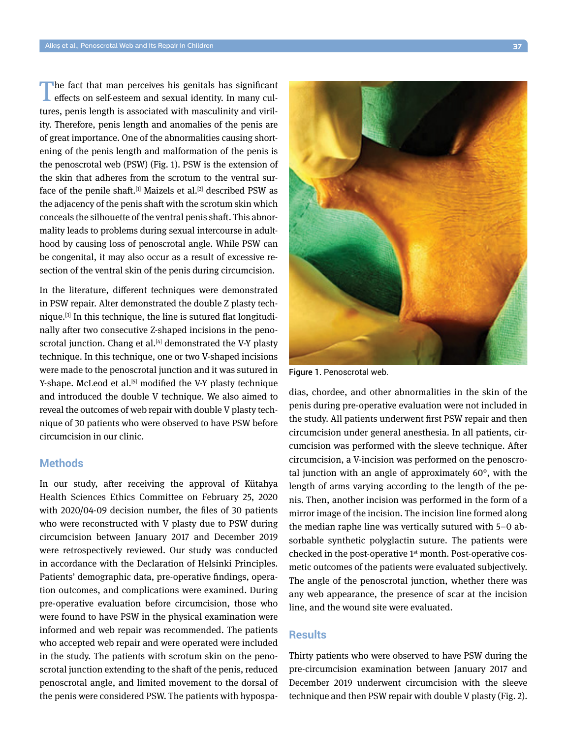The fact that man perceives his genitals has significant effects on self-esteem and sexual identity. In many cultures, penis length is associated with masculinity and virility. Therefore, penis length and anomalies of the penis are of great importance. One of the abnormalities causing shortening of the penis length and malformation of the penis is the penoscrotal web (PSW) (Fig. 1). PSW is the extension of the skin that adheres from the scrotum to the ventral surface of the penile shaft.<sup>[1]</sup> Maizels et al.<sup>[2]</sup> described PSW as the adjacency of the penis shaft with the scrotum skin which conceals the silhouette of the ventral penis shaft. This abnormality leads to problems during sexual intercourse in adulthood by causing loss of penoscrotal angle. While PSW can be congenital, it may also occur as a result of excessive resection of the ventral skin of the penis during circumcision.

In the literature, different techniques were demonstrated in PSW repair. Alter demonstrated the double Z plasty technique.[3] In this technique, the line is sutured flat longitudinally after two consecutive Z-shaped incisions in the penoscrotal junction. Chang et al. $[4]$  demonstrated the V-Y plasty technique. In this technique, one or two V-shaped incisions were made to the penoscrotal junction and it was sutured in Y-shape. McLeod et al.<sup>[5]</sup> modified the V-Y plasty technique and introduced the double V technique. We also aimed to reveal the outcomes of web repair with double V plasty technique of 30 patients who were observed to have PSW before circumcision in our clinic.

### **Methods**

In our study, after receiving the approval of Kütahya Health Sciences Ethics Committee on February 25, 2020 with 2020/04-09 decision number, the files of 30 patients who were reconstructed with V plasty due to PSW during circumcision between January 2017 and December 2019 were retrospectively reviewed. Our study was conducted in accordance with the Declaration of Helsinki Principles. Patients' demographic data, pre-operative findings, operation outcomes, and complications were examined. During pre-operative evaluation before circumcision, those who were found to have PSW in the physical examination were informed and web repair was recommended. The patients who accepted web repair and were operated were included in the study. The patients with scrotum skin on the penoscrotal junction extending to the shaft of the penis, reduced penoscrotal angle, and limited movement to the dorsal of the penis were considered PSW. The patients with hypospa-



Figure 1. Penoscrotal web.

dias, chordee, and other abnormalities in the skin of the penis during pre-operative evaluation were not included in the study. All patients underwent first PSW repair and then circumcision under general anesthesia. In all patients, circumcision was performed with the sleeve technique. After circumcision, a V-incision was performed on the penoscrotal junction with an angle of approximately 60°, with the length of arms varying according to the length of the penis. Then, another incision was performed in the form of a mirror image of the incision. The incision line formed along the median raphe line was vertically sutured with 5–0 absorbable synthetic polyglactin suture. The patients were checked in the post-operative 1st month. Post-operative cosmetic outcomes of the patients were evaluated subjectively. The angle of the penoscrotal junction, whether there was any web appearance, the presence of scar at the incision line, and the wound site were evaluated.

# **Results**

Thirty patients who were observed to have PSW during the pre-circumcision examination between January 2017 and December 2019 underwent circumcision with the sleeve technique and then PSW repair with double V plasty (Fig. 2).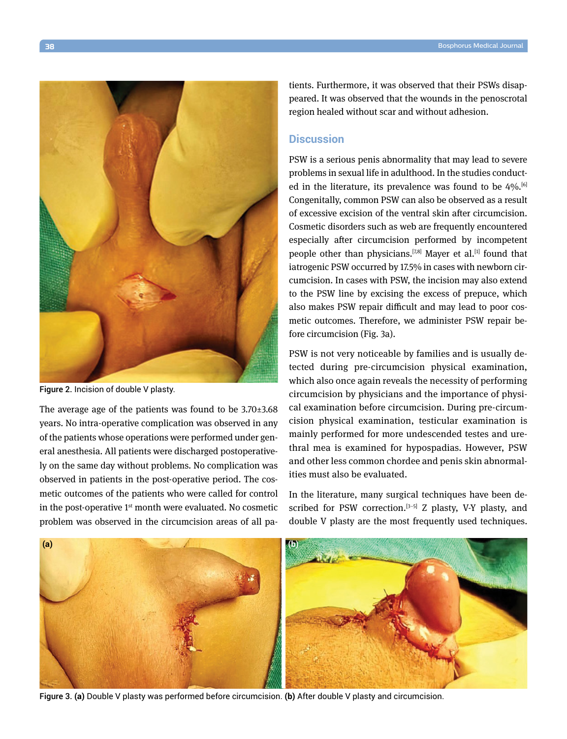

Figure 2. Incision of double V plasty.

The average age of the patients was found to be  $3.70\pm3.68$ years. No intra-operative complication was observed in any of the patients whose operations were performed under general anesthesia. All patients were discharged postoperatively on the same day without problems. No complication was observed in patients in the post-operative period. The cosmetic outcomes of the patients who were called for control in the post-operative  $1<sup>st</sup>$  month were evaluated. No cosmetic problem was observed in the circumcision areas of all patients. Furthermore, it was observed that their PSWs disappeared. It was observed that the wounds in the penoscrotal region healed without scar and without adhesion.

## **Discussion**

PSW is a serious penis abnormality that may lead to severe problems in sexual life in adulthood. In the studies conducted in the literature, its prevalence was found to be  $4\%$ .<sup>[6]</sup> Congenitally, common PSW can also be observed as a result of excessive excision of the ventral skin after circumcision. Cosmetic disorders such as web are frequently encountered especially after circumcision performed by incompetent people other than physicians.<sup>[7,8]</sup> Mayer et al.<sup>[1]</sup> found that iatrogenic PSW occurred by 17.5% in cases with newborn circumcision. In cases with PSW, the incision may also extend to the PSW line by excising the excess of prepuce, which also makes PSW repair difficult and may lead to poor cosmetic outcomes. Therefore, we administer PSW repair before circumcision (Fig. 3a).

PSW is not very noticeable by families and is usually detected during pre-circumcision physical examination, which also once again reveals the necessity of performing circumcision by physicians and the importance of physical examination before circumcision. During pre-circumcision physical examination, testicular examination is mainly performed for more undescended testes and urethral mea is examined for hypospadias. However, PSW and other less common chordee and penis skin abnormalities must also be evaluated.

In the literature, many surgical techniques have been described for PSW correction.<sup>[3-5]</sup> Z plasty, V-Y plasty, and double V plasty are the most frequently used techniques.



Figure 3. **(a)** Double V plasty was performed before circumcision. **(b)** After double V plasty and circumcision.